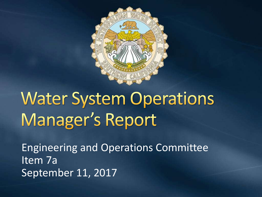

# **Water System Operations** Manager's Report

Engineering and Operations Committee Item 7a September 11, 2017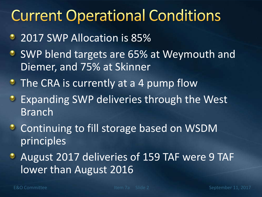#### **Current Operational Conditions**

- 2017 SWP Allocation is 85%
- SWP blend targets are 65% at Weymouth and Diemer, and 75% at Skinner
- The CRA is currently at a 4 pump flow
- **Expanding SWP deliveries through the West** Branch
- **C** Continuing to fill storage based on WSDM principles
- August 2017 deliveries of 159 TAF were 9 TAF lower than August 2016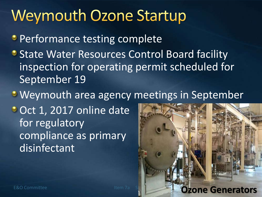#### **Weymouth Ozone Startup**

**Performance testing complete** 

- **State Water Resources Control Board facility** inspection for operating permit scheduled for September 19
- **Weymouth area agency meetings in September**
- Oct 1, 2017 online date for regulatory compliance as primary disinfectant

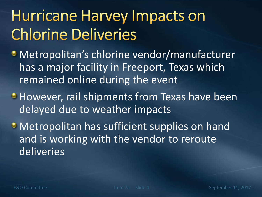### **Hurricane Harvey Impacts on Chlorine Deliveries**

- Metropolitan's chlorine vendor/manufacturer has a major facility in Freeport, Texas which remained online during the event
- **However, rail shipments from Texas have been** delayed due to weather impacts
- **Metropolitan has sufficient supplies on hand** and is working with the vendor to reroute deliveries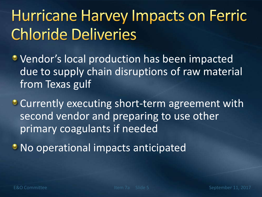## **Hurricane Harvey Impacts on Ferric Chloride Deliveries**

- **Vendor's local production has been impacted** due to supply chain disruptions of raw material from Texas gulf
- Currently executing short-term agreement with second vendor and preparing to use other primary coagulants if needed
- **No operational impacts anticipated**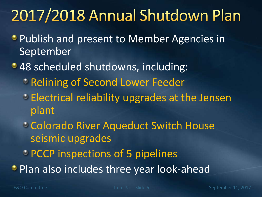### 2017/2018 Annual Shutdown Plan

- **Publish and present to Member Agencies in** September
- 48 scheduled shutdowns, including:
	- **PRelining of Second Lower Feeder**
	- Electrical reliability upgrades at the Jensen plant
	- Colorado River Aqueduct Switch House seismic upgrades
	- **PCCP** inspections of 5 pipelines
- **Plan also includes three year look-ahead**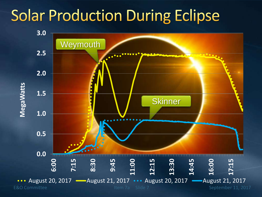### **Solar Production During Eclipse**